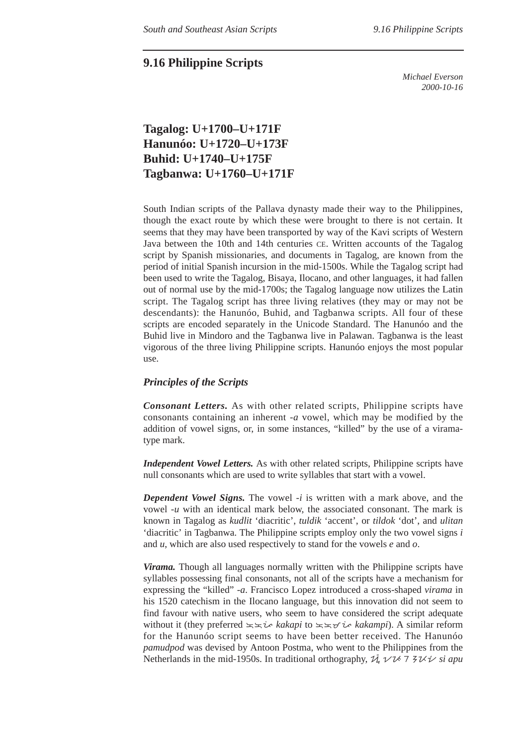### **9.16 Philippine Scripts**

*Michael Everson 2000-10-16*

## **Tagalog: U+1700–U+171F Hanunóo: U+1720–U+173F Buhid: U+1740–U+175F Tagbanwa: U+1760–U+171F**

South Indian scripts of the Pallava dynasty made their way to the Philippines, though the exact route by which these were brought to there is not certain. It seems that they may have been transported by way of the Kavi scripts of Western Java between the 10th and 14th centuries CE. Written accounts of the Tagalog script by Spanish missionaries, and documents in Tagalog, are known from the period of initial Spanish incursion in the mid-1500s. While the Tagalog script had been used to write the Tagalog, Bisaya, Ilocano, and other languages, it had fallen out of normal use by the mid-1700s; the Tagalog language now utilizes the Latin script. The Tagalog script has three living relatives (they may or may not be descendants): the Hanunóo, Buhid, and Tagbanwa scripts. All four of these scripts are encoded separately in the Unicode Standard. The Hanunóo and the Buhid live in Mindoro and the Tagbanwa live in Palawan. Tagbanwa is the least vigorous of the three living Philippine scripts. Hanunóo enjoys the most popular use.

#### *Principles of the Scripts*

*Consonant Letters.* As with other related scripts, Philippine scripts have consonants containing an inherent -*a* vowel, which may be modified by the addition of vowel signs, or, in some instances, "killed" by the use of a viramatype mark.

*Independent Vowel Letters.* As with other related scripts, Philippine scripts have null consonants which are used to write syllables that start with a vowel.

*Dependent Vowel Signs.* The vowel -*i* is written with a mark above, and the vowel -*u* with an identical mark below, the associated consonant. The mark is known in Tagalog as *kudlit* 'diacritic', *tuldik* 'accent', or *tildok* 'dot', and *ulitan* 'diacritic' in Tagbanwa. The Philippine scripts employ only the two vowel signs *i* and *u*, which are also used respectively to stand for the vowels *e* and *o*.

*Virama.* Though all languages normally written with the Philippine scripts have syllables possessing final consonants, not all of the scripts have a mechanism for expressing the "killed" -*a*. Francisco Lopez introduced a cross-shaped *virama* in his 1520 catechism in the Ilocano language, but this innovation did not seem to find favour with native users, who seem to have considered the script adequate without it (they preferred  $\leq \leq i$  *kakapi* to  $\leq \leq i$  *kakampi*). A similar reform for the Hanunóo script seems to have been better received. The Hanunóo *pamudpod* was devised by Antoon Postma, who went to the Philippines from the Netherlands in the mid-1950s. In traditional orthography,  $\tilde{\mathcal{U}}_1 \vee \mathcal{U} \vee \mathcal{I} \times \mathcal{V}$  *si apu*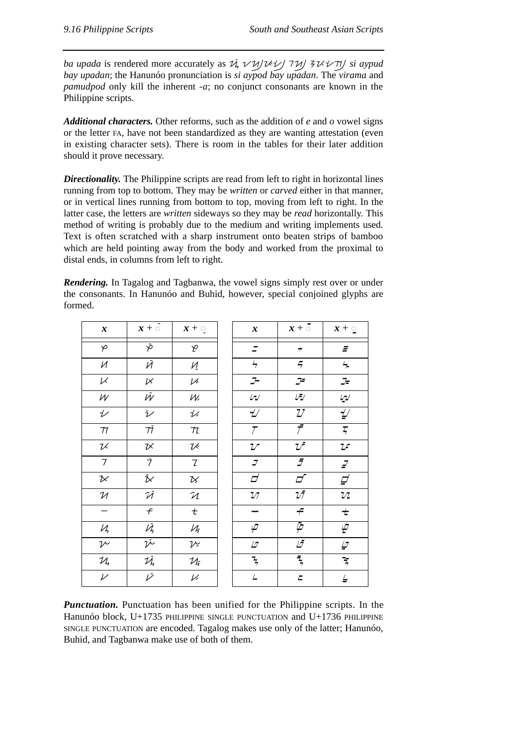*ba upada* is rendered more accurately as  $\overline{\mathcal{U}}_1 \vee \mathcal{U}/\mathcal{U} \vee \mathcal{U}/\mathcal{I} \vee \mathcal{U}$  *si aypud bay upadan*; the Hanunóo pronunciation is *si aypod bay upadan*. The *virama* and *pamudpod* only kill the inherent -*a*; no conjunct consonants are known in the Philippine scripts.

*Additional characters.* Other reforms, such as the addition of *e* and *o* vowel signs or the letter FA, have not been standardized as they are wanting attestation (even in existing character sets). There is room in the tables for their later addition should it prove necessary.

**Directionality.** The Philippine scripts are read from left to right in horizontal lines running from top to bottom. They may be *written* or *carved* either in that manner, or in vertical lines running from bottom to top, moving from left to right. In the latter case, the letters are *written* sideways so they may be *read* horizontally. This method of writing is probably due to the medium and writing implements used. Text is often scratched with a sharp instrument onto beaten strips of bamboo which are held pointing away from the body and worked from the proximal to distal ends, in columns from left to right.

*Rendering.* In Tagalog and Tagbanwa, the vowel signs simply rest over or under the consonants. In Hanunóo and Buhid, however, special conjoined glyphs are formed.

| $\boldsymbol{x}$         | $x + \circ$               | $x + \mathbf{Q}$                 | $\boldsymbol{x}$           | $x + 5$                        | $x + \circ$                                                    |
|--------------------------|---------------------------|----------------------------------|----------------------------|--------------------------------|----------------------------------------------------------------|
| $\varphi$                | P                         | مِ                               |                            | $\boldsymbol{+}$               | $\tilde{\Xi}$                                                  |
| $\mathcal{U}$            | Й                         | $\overline{M}$                   | $\overline{z}$             | $\overline{z}$                 | $\frac{\mathcal{L}}{\mathcal{L}}$                              |
| $\ltimes$                | $\nu$                     | V                                | $\mathcal{I}$              | $\mathcal{I}^{\! \varepsilon}$ | $\mathcal{F}% _{0}$                                            |
| $\mathcal W$             | $\bar{\mathcal{W}}$       | $W_1$                            | $\sqrt{2}$                 | Ŵ                              | $\ensuremath{\mathit{L}}\xspace\ensuremath{\mathit{L}}\xspace$ |
| $\overline{\mathscr{V}}$ | $\bar{\nu}$               | $\frac{1}{2}$                    | $\overline{\mathcal{L}}$   | $\mathbb{Z}^7$                 | $\underline{\mathbb{Z}}/$                                      |
| ${\boldsymbol{\tau}}$    | $7\bar{7}$                | ${\cal T}$                       | $\mathcal T$               | $\overline{\bar{\mathcal{T}}}$ | $\overline{\zeta}$                                             |
| $\rm{Z}$                 | $\mathcal{U}$             | $\nu$                            | $\cal U$                   | $\mathcal{L}$                  | ${\mathcal U}$                                                 |
| $\overline{7}$           | $\bar{7}$                 | $\ensuremath{\mathsf{Z}}$        | $\boldsymbol{\mathcal{I}}$ | $\bar{\mathcal{I}}$            | $\cal{I}$                                                      |
| $\Join$                  | $\bar{\triangleright}$    | $\boldsymbol{\mathcal{B}}$       | $\overline{\mathcal{C}}$   | $\overline{\mathcal{L}}$       | $\varphi$                                                      |
| ${\mathcal{U}}$          | $\bar{\mathcal{U}}$       | ${\mathcal{U}}$                  | $\sqrt{2}$                 | $\mathbb{Z}\bar{\mathcal{J}}$  | $\sqrt{2}$                                                     |
|                          | $\boldsymbol{\mathit{f}}$ | $\pmb{\mathcal{t}}$              |                            | $\boldsymbol{\mathcal{F}}$     | $\pm$                                                          |
| $\mathcal{V}_h$          | $\bar{\mathcal{U}}_1$     | $\mathcal{U}_{\overline{7}}$     | $\varphi$                  | $\overline{\varphi}$           | $\varphi$                                                      |
| $\nu$                    | $\overline{\mathscr{V}}$  | $\nu$                            | $\varDelta$                | LŦ                             | $\mathcal{Q}$                                                  |
| $\mathcal{U}_\text{r}$   | 巧                         | $\mathcal{U}_{\bar{\mathbf{r}}}$ | $\frac{1}{\sqrt{2}}$       | $\overline{z}$                 | $\frac{1}{2}$                                                  |
| $\overline{\nu}$         | $\overline{\nu}$          | $\overline{\nu}$                 | $\angle$                   | $\pmb{\mathcal{L}}$            | $\overline{\underline{\mathit{L}}}$                            |
|                          |                           |                                  |                            |                                |                                                                |

*Punctuation.* Punctuation has been unified for the Philippine scripts. In the Hanunóo block, U+1735 PHILIPPINE SINGLE PUNCTUATION and U+1736 PHILIPPINE SINGLE PUNCTUATION are encoded. Tagalog makes use only of the latter; Hanunóo, Buhid, and Tagbanwa make use of both of them.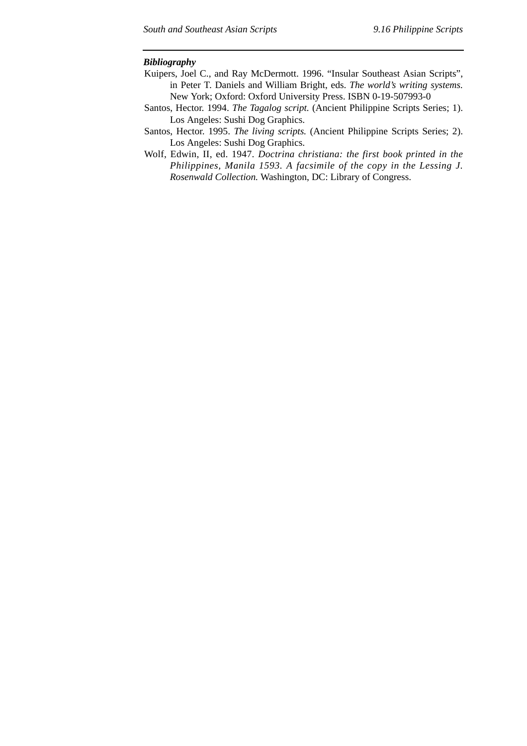#### *Bibliography*

- Kuipers, Joel C., and Ray McDermott. 1996. "Insular Southeast Asian Scripts", in Peter T. Daniels and William Bright, eds. *The world's writing systems.* New York; Oxford: Oxford University Press. ISBN 0-19-507993-0
- Santos, Hector. 1994. *The Tagalog script.* (Ancient Philippine Scripts Series; 1). Los Angeles: Sushi Dog Graphics.
- Santos, Hector. 1995. *The living scripts.* (Ancient Philippine Scripts Series; 2). Los Angeles: Sushi Dog Graphics.
- Wolf, Edwin, II, ed. 1947. *Doctrina christiana: the first book printed in the Philippines, Manila 1593. A facsimile of the copy in the Lessing J. Rosenwald Collection.* Washington, DC: Library of Congress.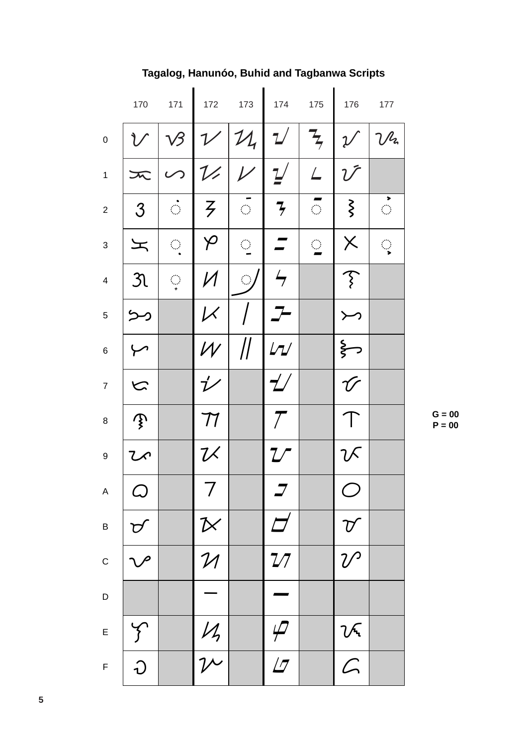|                           | 170                                | 171                         | 172                        | 173                         | 174                                 | 175                         | 176                        | 177                         |
|---------------------------|------------------------------------|-----------------------------|----------------------------|-----------------------------|-------------------------------------|-----------------------------|----------------------------|-----------------------------|
| $\mathbf 0$               | ヿ゚                                 | $\sqrt{3}$                  |                            | 1/11                        | $\mathcal{L}$                       | $\frac{1}{2}$               | $\mathcal V$               | $\mathcal{V}$               |
| $\mathbf 1$               | $\boldsymbol{\pi}$                 | $\mathcal{S}$               | $\mathcal{V}$              | $\overline{\nu}$            | $\underline{1}$                     | $\sqrt{ }$                  | $\mathcal{U}$              |                             |
| $\boldsymbol{2}$          | $\mathcal{S}$                      | $\mathcal{L}_{\mathcal{A}}$ | $\zeta$                    | $\mathcal{L}_{\mathcal{A}}$ | $\overline{\mathcal{F}}$            | $\mathcal{L}_{\mathcal{A}}$ | $\zeta$                    | $\mathcal{L}_{\mathcal{A}}$ |
| $\ensuremath{\mathsf{3}}$ | 工                                  | $\mathcal{L}_{\mathcal{A}}$ | $\varphi$                  | $\bigcirc$                  |                                     | $\mathcal{L}_{\mathcal{A}}$ | $\times$                   | ्                           |
| $\overline{\mathbf{4}}$   | $\mathfrak{R}$                     | $\bigcirc$                  | И                          | $\bigcirc$                  | $\frac{1}{\sqrt{2}}$                |                             | $\widehat{\mathcal{F}}$    |                             |
| $\sqrt{5}$                | رمر                                |                             | $\boldsymbol{\mathcal{K}}$ |                             |                                     |                             |                            |                             |
| $\,6$                     |                                    |                             | ${\cal W}$                 | $\mathcal{U}$               | $L\tau L$                           |                             | $\xi$                      |                             |
| $\boldsymbol{7}$          | N                                  |                             | $\acute{\iota}^{\prime}$   |                             | $\mathcal{L}^{\prime}$              |                             | $\acute{\mathcal{U}}$      |                             |
| $\bf 8$                   | $\mathcal{P}$                      |                             | ${\cal T}$                 |                             | $\mathcal{T}$                       |                             | $\top$                     |                             |
| $\boldsymbol{9}$          | ひへ                                 |                             | $\mathcal{U}$              |                             | $\mathcal{I} \mathcal{I}$           |                             | 7 X                        |                             |
| $\mathsf A$               | $\varphi$                          |                             | 7                          |                             |                                     |                             | $\bigcup$                  |                             |
| $\sf B$                   | $\mathcal{D}$                      |                             |                            |                             | $\overline{\mathcal{L}}$            |                             | $\boldsymbol{\mathcal{U}}$ |                             |
| $\mathsf C$               | $\smash{\smash{\bigtriangledown}}$ |                             | $\frac{N}{N}$              |                             | 27                                  |                             | $\mathcal{U}$              |                             |
| $\mathsf D$               |                                    |                             |                            |                             |                                     |                             |                            |                             |
| $\mathsf E$               | $\int$                             |                             | $\frac{M}{\gamma}$         |                             | $\varphi$                           |                             |                            |                             |
| $\mathsf F$               | $\overline{\upsilon}$              |                             |                            |                             | $\overline{\overline{\mathcal{L}}}$ |                             | $\frac{2}{\sqrt{2}}$       |                             |

# Tagalog, Hanunóo, Buhid and Tagbanwa Scripts

 $G = 00$ <br> $P = 00$